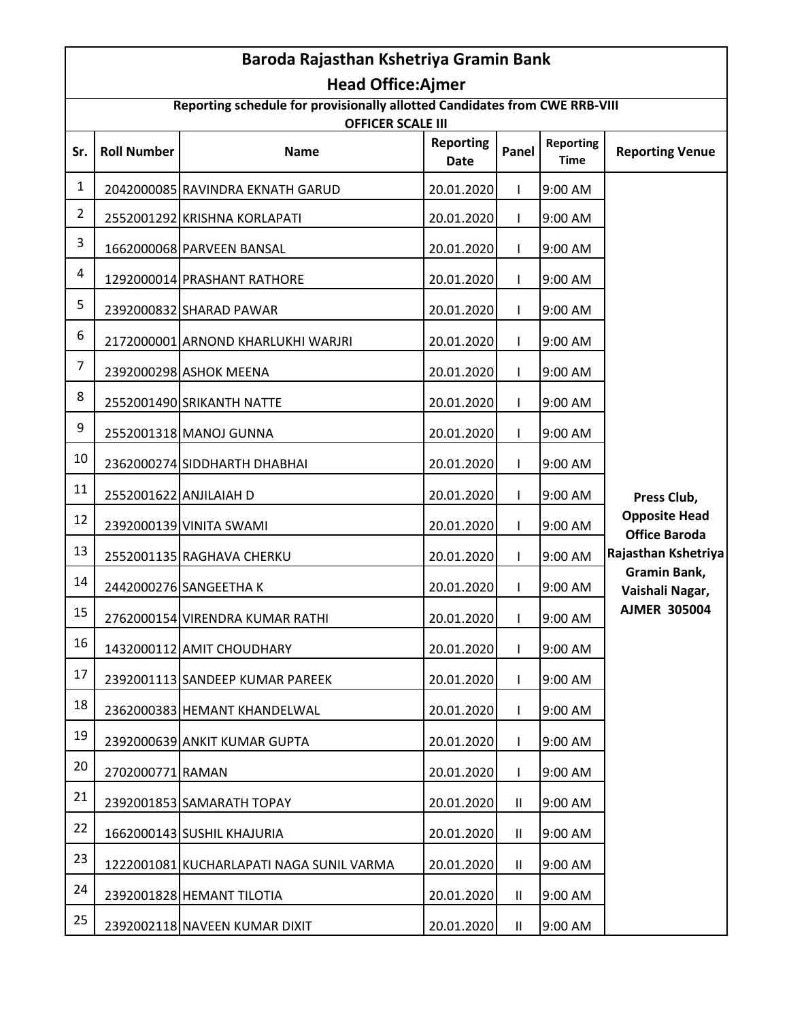|                | Baroda Rajasthan Kshetriya Gramin Bank |                                                                                                        |                                 |              |                                 |                                              |
|----------------|----------------------------------------|--------------------------------------------------------------------------------------------------------|---------------------------------|--------------|---------------------------------|----------------------------------------------|
|                |                                        | <b>Head Office:Ajmer</b><br>Reporting schedule for provisionally allotted Candidates from CWE RRB-VIII |                                 |              |                                 |                                              |
|                |                                        | <b>OFFICER SCALE III</b>                                                                               |                                 |              |                                 |                                              |
| Sr.            | <b>Roll Number</b>                     | <b>Name</b>                                                                                            | <b>Reporting</b><br><b>Date</b> | Panel        | <b>Reporting</b><br><b>Time</b> | <b>Reporting Venue</b>                       |
| $\mathbf{1}$   |                                        | 2042000085 RAVINDRA EKNATH GARUD                                                                       | 20.01.2020                      | $\mathbf{I}$ | 9:00 AM                         |                                              |
| $\overline{2}$ |                                        | 2552001292 KRISHNA KORLAPATI                                                                           | 20.01.2020                      | $\mathbf{I}$ | 9:00 AM                         |                                              |
| 3              |                                        | 1662000068 PARVEEN BANSAL                                                                              | 20.01.2020                      | $\mathsf{I}$ | 9:00 AM                         |                                              |
| 4              |                                        | 1292000014 PRASHANT RATHORE                                                                            | 20.01.2020                      | $\mathsf{I}$ | 9:00 AM                         |                                              |
| 5              |                                        | 2392000832 SHARAD PAWAR                                                                                | 20.01.2020                      | $\mathsf{I}$ | 9:00 AM                         |                                              |
| 6              |                                        | 2172000001 ARNOND KHARLUKHI WARJRI                                                                     | 20.01.2020                      | $\mathbf{I}$ | 9:00 AM                         |                                              |
| $\overline{7}$ |                                        | 2392000298 ASHOK MEENA                                                                                 | 20.01.2020                      | $\mathbf{I}$ | 9:00 AM                         |                                              |
| 8              |                                        | 2552001490 SRIKANTH NATTE                                                                              | 20.01.2020                      | $\mathsf{I}$ | 9:00 AM                         |                                              |
| 9              |                                        | 2552001318 MANOJ GUNNA                                                                                 | 20.01.2020                      | $\mathsf{I}$ | 9:00 AM                         |                                              |
| 10             |                                        | 2362000274 SIDDHARTH DHABHAI                                                                           | 20.01.2020                      | $\mathbf{I}$ | 9:00 AM                         |                                              |
| 11             |                                        | 2552001622 ANJILAIAH D                                                                                 | 20.01.2020                      | $\mathbf{I}$ | 9:00 AM                         | Press Club,                                  |
| 12             |                                        | 2392000139 VINITA SWAMI                                                                                | 20.01.2020                      | $\mathbf{I}$ | 9:00 AM                         | <b>Opposite Head</b><br><b>Office Baroda</b> |
| 13             |                                        | 2552001135 RAGHAVA CHERKU                                                                              | 20.01.2020                      | $\mathbf{I}$ | 9:00 AM                         | Rajasthan Kshetriya                          |
| 14             |                                        | 2442000276 SANGEETHA K                                                                                 | 20.01.2020                      | $\mathbf{I}$ | 9:00 AM                         | Gramin Bank,<br>Vaishali Nagar,              |
| 15             |                                        | 2762000154 VIRENDRA KUMAR RATHI                                                                        | 20.01.2020                      | $\mathbf{I}$ | 9:00 AM                         | <b>AJMER 305004</b>                          |
| 16             |                                        | 1432000112 AMIT CHOUDHARY                                                                              | 20.01.2020                      | $\mathbf{I}$ | 9:00 AM                         |                                              |
| 17             |                                        | 2392001113 SANDEEP KUMAR PAREEK                                                                        | 20.01.2020                      | $\mathbf{I}$ | 9:00 AM                         |                                              |
| 18             |                                        | 2362000383 HEMANT KHANDELWAL                                                                           | 20.01.2020                      | $\mathbf{I}$ | 9:00 AM                         |                                              |
| 19             |                                        | 2392000639 ANKIT KUMAR GUPTA                                                                           | 20.01.2020                      | $\mathbf{I}$ | 9:00 AM                         |                                              |
| 20             | 2702000771 RAMAN                       |                                                                                                        | 20.01.2020                      | $\mathbf{I}$ | 9:00 AM                         |                                              |
| 21             |                                        | 2392001853 SAMARATH TOPAY                                                                              | 20.01.2020                      | $\mathbf{H}$ | 9:00 AM                         |                                              |
| 22             |                                        | 1662000143 SUSHIL KHAJURIA                                                                             | 20.01.2020                      | $\mathbf{H}$ | 9:00 AM                         |                                              |
| 23             |                                        | 1222001081 KUCHARLAPATI NAGA SUNIL VARMA                                                               | 20.01.2020                      | $\mathbf{H}$ | 9:00 AM                         |                                              |
| 24             |                                        | 2392001828 HEMANT TILOTIA                                                                              | 20.01.2020                      | $\mathbf{H}$ | 9:00 AM                         |                                              |
| 25             |                                        | 2392002118 NAVEEN KUMAR DIXIT                                                                          | 20.01.2020                      | Ш            | 9:00 AM                         |                                              |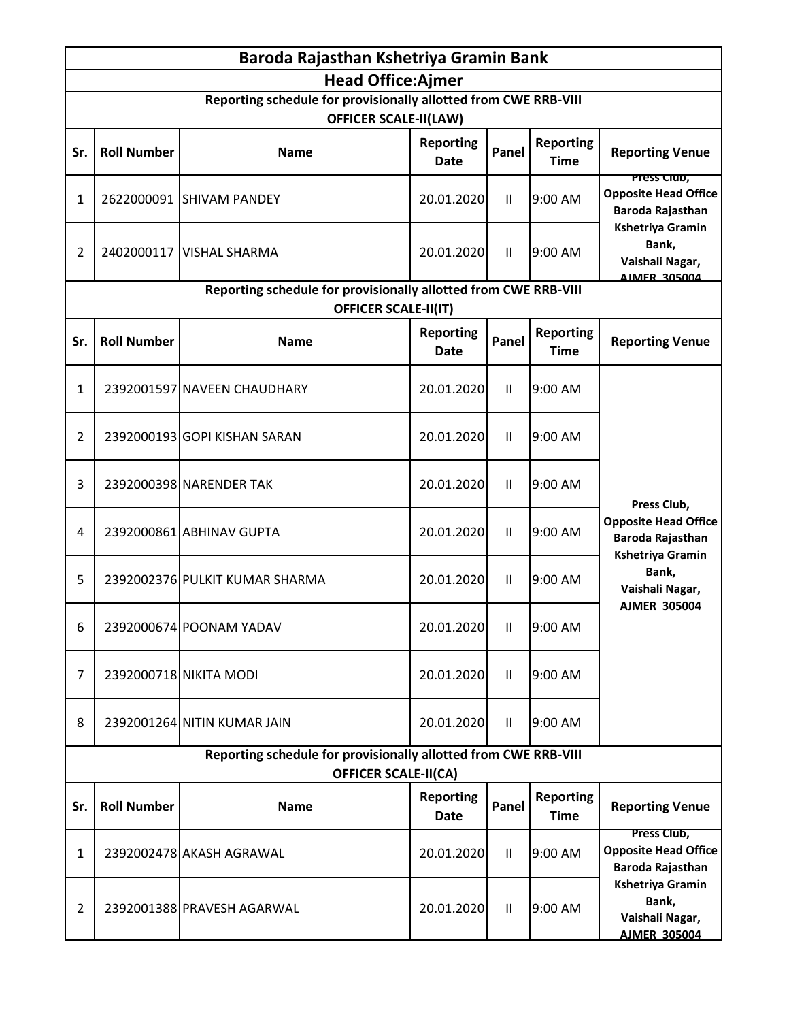|                                                                                                | Baroda Rajasthan Kshetriya Gramin Bank |                                                                                                 |                                 |              |                                 |                                                                            |
|------------------------------------------------------------------------------------------------|----------------------------------------|-------------------------------------------------------------------------------------------------|---------------------------------|--------------|---------------------------------|----------------------------------------------------------------------------|
|                                                                                                |                                        | <b>Head Office:Ajmer</b>                                                                        |                                 |              |                                 |                                                                            |
|                                                                                                |                                        | Reporting schedule for provisionally allotted from CWE RRB-VIII<br><b>OFFICER SCALE-II(LAW)</b> |                                 |              |                                 |                                                                            |
| Sr.                                                                                            | <b>Roll Number</b>                     | <b>Name</b>                                                                                     | <b>Reporting</b><br>Date        | Panel        | <b>Reporting</b><br><b>Time</b> | <b>Reporting Venue</b>                                                     |
| 1                                                                                              |                                        | 2622000091 SHIVAM PANDEY                                                                        | 20.01.2020                      | Ш            | 9:00 AM                         | <u>Press Ciup,</u><br><b>Opposite Head Office</b><br>Baroda Rajasthan      |
| 2                                                                                              |                                        | 2402000117 VISHAL SHARMA                                                                        | 20.01.2020                      | $\mathbf{H}$ | 9:00 AM                         | <b>Kshetriya Gramin</b><br>Bank,<br>Vaishali Nagar,<br>AIMER 305004        |
|                                                                                                |                                        | Reporting schedule for provisionally allotted from CWE RRB-VIII<br><b>OFFICER SCALE-II(IT)</b>  |                                 |              |                                 |                                                                            |
| Sr.                                                                                            | <b>Roll Number</b>                     | <b>Name</b>                                                                                     | <b>Reporting</b><br><b>Date</b> | Panel        | <b>Reporting</b><br><b>Time</b> | <b>Reporting Venue</b>                                                     |
| 1                                                                                              |                                        | 2392001597 NAVEEN CHAUDHARY                                                                     | 20.01.2020                      | $\mathbf{H}$ | 9:00 AM                         |                                                                            |
| 2                                                                                              |                                        | 2392000193 GOPI KISHAN SARAN                                                                    | 20.01.2020                      | Ш            | 9:00 AM                         |                                                                            |
| 3                                                                                              |                                        | 2392000398 NARENDER TAK                                                                         | 20.01.2020                      | $\mathbf{H}$ | 9:00 AM                         | Press Club,                                                                |
| 4                                                                                              |                                        | 2392000861 ABHINAV GUPTA                                                                        | 20.01.2020                      | $\mathbf{H}$ | 9:00 AM                         | <b>Opposite Head Office</b><br>Baroda Rajasthan                            |
| 5                                                                                              |                                        | 2392002376 PULKIT KUMAR SHARMA                                                                  | 20.01.2020                      | $\mathbf{H}$ | 9:00 AM                         | <b>Kshetriya Gramin</b><br>Bank,<br>Vaishali Nagar,                        |
| 6                                                                                              |                                        | 2392000674 POONAM YADAV                                                                         | 20.01.2020                      | $\mathbf{H}$ | 9:00 AM                         | <b>AJMER 305004</b>                                                        |
| 7                                                                                              |                                        | 2392000718 NIKITA MODI                                                                          | 20.01.2020                      | Ш            | 9:00 AM                         |                                                                            |
| 8                                                                                              |                                        | 2392001264 NITIN KUMAR JAIN                                                                     | 20.01.2020                      | $\mathbf{H}$ | 9:00 AM                         |                                                                            |
| Reporting schedule for provisionally allotted from CWE RRB-VIII<br><b>OFFICER SCALE-II(CA)</b> |                                        |                                                                                                 |                                 |              |                                 |                                                                            |
| Sr.                                                                                            | <b>Roll Number</b>                     | <b>Name</b>                                                                                     | <b>Reporting</b><br>Date        | Panel        | <b>Reporting</b><br><b>Time</b> | <b>Reporting Venue</b>                                                     |
| 1                                                                                              |                                        | 2392002478 AKASH AGRAWAL                                                                        | 20.01.2020                      | $\mathbf{H}$ | 9:00 AM                         | Press Club,<br><b>Opposite Head Office</b><br>Baroda Rajasthan             |
| $\overline{2}$                                                                                 |                                        | 2392001388 PRAVESH AGARWAL                                                                      | 20.01.2020                      | $\mathbf{H}$ | 9:00 AM                         | <b>Kshetriya Gramin</b><br>Bank,<br>Vaishali Nagar,<br><b>AJMER 305004</b> |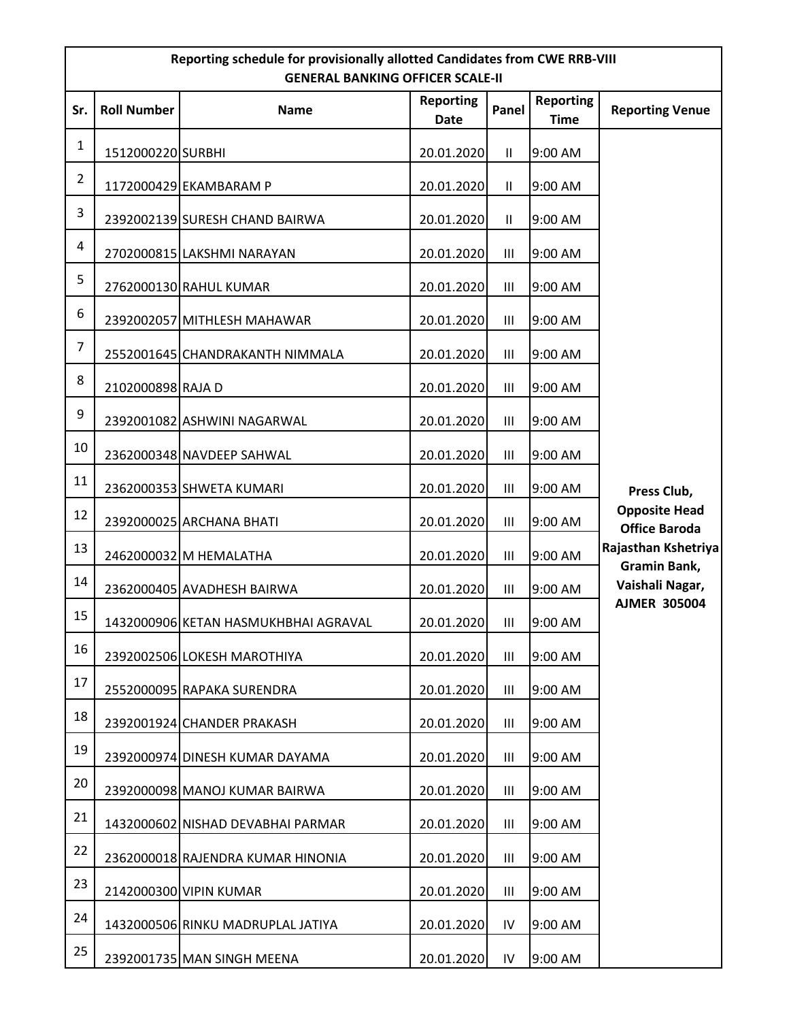|                | Reporting schedule for provisionally allotted Candidates from CWE RRB-VIII<br><b>GENERAL BANKING OFFICER SCALE-II</b> |                                      |                          |                    |                                 |                                              |  |  |
|----------------|-----------------------------------------------------------------------------------------------------------------------|--------------------------------------|--------------------------|--------------------|---------------------------------|----------------------------------------------|--|--|
| Sr.            | <b>Roll Number</b>                                                                                                    | <b>Name</b>                          | <b>Reporting</b><br>Date | Panel              | <b>Reporting</b><br><b>Time</b> | <b>Reporting Venue</b>                       |  |  |
| $\mathbf{1}$   | 1512000220 SURBHI                                                                                                     |                                      | 20.01.2020               | $\mathbf{H}$       | 9:00 AM                         |                                              |  |  |
| $\overline{2}$ |                                                                                                                       | 1172000429 EKAMBARAM P               | 20.01.2020               | $\mathbf{II}$      | 9:00 AM                         |                                              |  |  |
| 3              |                                                                                                                       | 2392002139 SURESH CHAND BAIRWA       | 20.01.2020               | Ш                  | 9:00 AM                         |                                              |  |  |
| 4              |                                                                                                                       | 2702000815 LAKSHMI NARAYAN           | 20.01.2020               | Ш                  | 9:00 AM                         |                                              |  |  |
| 5              |                                                                                                                       | 2762000130 RAHUL KUMAR               | 20.01.2020               | III                | 9:00 AM                         |                                              |  |  |
| 6              |                                                                                                                       | 2392002057 MITHLESH MAHAWAR          | 20.01.2020               | Ш                  | 9:00 AM                         |                                              |  |  |
| $\overline{7}$ |                                                                                                                       | 2552001645 CHANDRAKANTH NIMMALA      | 20.01.2020               | Ш                  | 9:00 AM                         |                                              |  |  |
| 8              | 2102000898 RAJA D                                                                                                     |                                      | 20.01.2020               | Ш                  | 9:00 AM                         |                                              |  |  |
| 9              |                                                                                                                       | 2392001082 ASHWINI NAGARWAL          | 20.01.2020               | Ш                  | 9:00 AM                         |                                              |  |  |
| 10             |                                                                                                                       | 2362000348 NAVDEEP SAHWAL            | 20.01.2020               | Ш                  | 9:00 AM                         |                                              |  |  |
| 11             |                                                                                                                       | 2362000353 SHWETA KUMARI             | 20.01.2020               | Ш                  | 9:00 AM                         | Press Club,                                  |  |  |
| 12             |                                                                                                                       | 2392000025 ARCHANA BHATI             | 20.01.2020               | Ш                  | 9:00 AM                         | <b>Opposite Head</b><br><b>Office Baroda</b> |  |  |
| 13             |                                                                                                                       | 2462000032 M HEMALATHA               | 20.01.2020               | Ш                  | 9:00 AM                         | Rajasthan Kshetriya                          |  |  |
| 14             |                                                                                                                       | 2362000405 AVADHESH BAIRWA           | 20.01.2020               | $\mathop{\rm III}$ | 9:00 AM                         | Gramin Bank,<br>Vaishali Nagar,              |  |  |
| 15             |                                                                                                                       | 1432000906 KETAN HASMUKHBHAI AGRAVAL | 20.01.2020               | Ш                  | 9:00 AM                         | <b>AJMER 305004</b>                          |  |  |
| 16             |                                                                                                                       | 2392002506 LOKESH MAROTHIYA          | 20.01.2020               | Ш                  | 9:00 AM                         |                                              |  |  |
| 17             |                                                                                                                       | 2552000095 RAPAKA SURENDRA           | 20.01.2020               | III                | 9:00 AM                         |                                              |  |  |
| 18             |                                                                                                                       | 2392001924 CHANDER PRAKASH           | 20.01.2020               | Ш                  | 9:00 AM                         |                                              |  |  |
| 19             |                                                                                                                       | 2392000974 DINESH KUMAR DAYAMA       | 20.01.2020               | Ш                  | 9:00 AM                         |                                              |  |  |
| 20             |                                                                                                                       | 2392000098 MANOJ KUMAR BAIRWA        | 20.01.2020               | Ш                  | $9:00$ AM                       |                                              |  |  |
| 21             |                                                                                                                       | 1432000602 NISHAD DEVABHAI PARMAR    | 20.01.2020               | Ш                  | 9:00 AM                         |                                              |  |  |
| 22             |                                                                                                                       | 2362000018 RAJENDRA KUMAR HINONIA    | 20.01.2020               | Ш                  | 9:00 AM                         |                                              |  |  |
| 23             |                                                                                                                       | 2142000300 VIPIN KUMAR               | 20.01.2020               | Ш                  | 9:00 AM                         |                                              |  |  |
| 24             |                                                                                                                       | 1432000506 RINKU MADRUPLAL JATIYA    | 20.01.2020               | IV                 | 9:00 AM                         |                                              |  |  |
| 25             |                                                                                                                       | 2392001735 MAN SINGH MEENA           | 20.01.2020               | IV                 | 9:00 AM                         |                                              |  |  |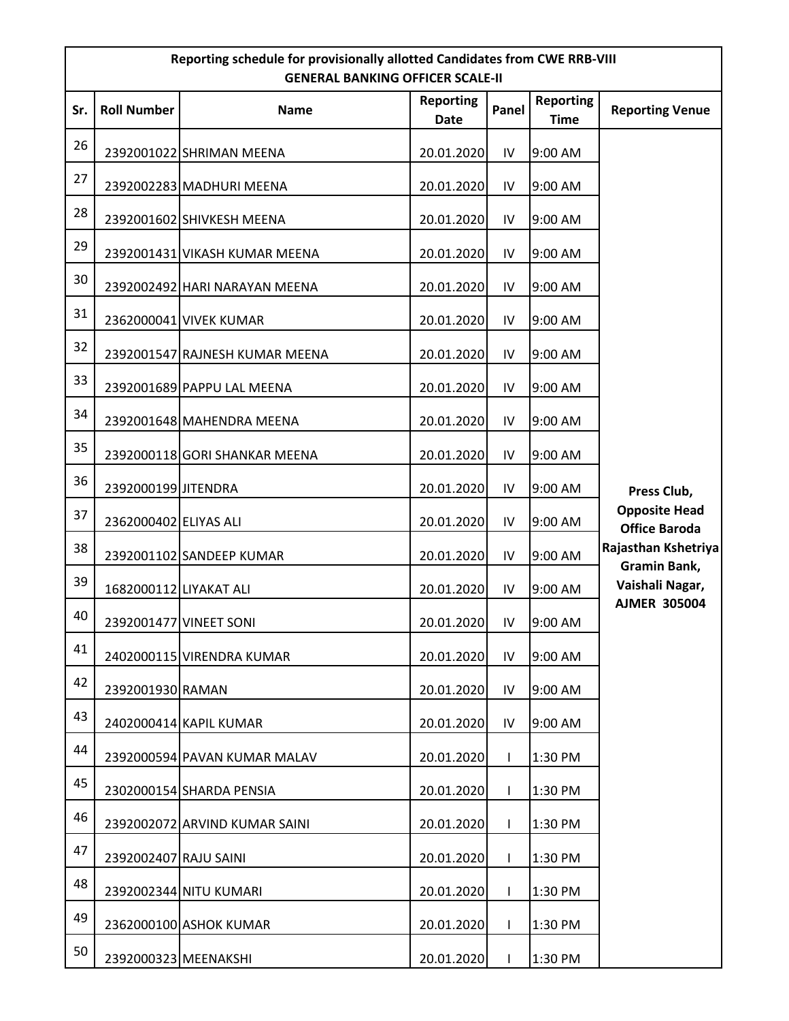|     | Reporting schedule for provisionally allotted Candidates from CWE RRB-VIII<br><b>GENERAL BANKING OFFICER SCALE-II</b> |                                |                          |              |                                 |                                              |  |  |
|-----|-----------------------------------------------------------------------------------------------------------------------|--------------------------------|--------------------------|--------------|---------------------------------|----------------------------------------------|--|--|
| Sr. | <b>Roll Number</b>                                                                                                    | <b>Name</b>                    | <b>Reporting</b><br>Date | Panel        | <b>Reporting</b><br><b>Time</b> | <b>Reporting Venue</b>                       |  |  |
| 26  |                                                                                                                       | 2392001022 SHRIMAN MEENA       | 20.01.2020               | IV           | 9:00 AM                         |                                              |  |  |
| 27  |                                                                                                                       | 2392002283 MADHURI MEENA       | 20.01.2020               | IV           | 9:00 AM                         |                                              |  |  |
| 28  |                                                                                                                       | 2392001602 SHIVKESH MEENA      | 20.01.2020               | IV           | 9:00 AM                         |                                              |  |  |
| 29  |                                                                                                                       | 2392001431 VIKASH KUMAR MEENA  | 20.01.2020               | IV           | 9:00 AM                         |                                              |  |  |
| 30  |                                                                                                                       | 2392002492 HARI NARAYAN MEENA  | 20.01.2020               | IV           | 9:00 AM                         |                                              |  |  |
| 31  |                                                                                                                       | 2362000041 VIVEK KUMAR         | 20.01.2020               | IV           | 9:00 AM                         |                                              |  |  |
| 32  |                                                                                                                       | 2392001547 RAJNESH KUMAR MEENA | 20.01.2020               | IV           | 9:00 AM                         |                                              |  |  |
| 33  |                                                                                                                       | 2392001689 PAPPU LAL MEENA     | 20.01.2020               | IV           | 9:00 AM                         |                                              |  |  |
| 34  |                                                                                                                       | 2392001648 MAHENDRA MEENA      | 20.01.2020               | IV           | 9:00 AM                         |                                              |  |  |
| 35  |                                                                                                                       | 2392000118 GORI SHANKAR MEENA  | 20.01.2020               | IV           | 9:00 AM                         |                                              |  |  |
| 36  | 2392000199 JITENDRA                                                                                                   |                                | 20.01.2020               | IV           | 9:00 AM                         | Press Club,                                  |  |  |
| 37  | 2362000402 ELIYAS ALI                                                                                                 |                                | 20.01.2020               | IV           | 9:00 AM                         | <b>Opposite Head</b><br><b>Office Baroda</b> |  |  |
| 38  |                                                                                                                       | 2392001102 SANDEEP KUMAR       | 20.01.2020               | IV           | 9:00 AM                         | Rajasthan Kshetriya<br>Gramin Bank,          |  |  |
| 39  | 1682000112 LIYAKAT ALI                                                                                                |                                | 20.01.2020               | IV           | 9:00 AM                         | Vaishali Nagar,                              |  |  |
| 40  |                                                                                                                       | 2392001477 VINEET SONI         | 20.01.2020               | IV           | 9:00 AM                         | <b>AJMER 305004</b>                          |  |  |
| 41  |                                                                                                                       | 2402000115 VIRENDRA KUMAR      | 20.01.2020               | IV           | 9:00 AM                         |                                              |  |  |
| 42  | 2392001930 RAMAN                                                                                                      |                                | 20.01.2020               | IV           | 9:00 AM                         |                                              |  |  |
| 43  |                                                                                                                       | 2402000414 KAPIL KUMAR         | 20.01.2020               | IV           | 9:00 AM                         |                                              |  |  |
| 44  |                                                                                                                       | 2392000594 PAVAN KUMAR MALAV   | 20.01.2020               | $\mathbf{I}$ | 1:30 PM                         |                                              |  |  |
| 45  |                                                                                                                       | 2302000154 SHARDA PENSIA       | 20.01.2020               | T            | 1:30 PM                         |                                              |  |  |
| 46  |                                                                                                                       | 2392002072 ARVIND KUMAR SAINI  | 20.01.2020               | T            | 1:30 PM                         |                                              |  |  |
| 47  | 2392002407 RAJU SAINI                                                                                                 |                                | 20.01.2020               | T            | 1:30 PM                         |                                              |  |  |
| 48  |                                                                                                                       | 2392002344 NITU KUMARI         | 20.01.2020               | $\mathsf{I}$ | 1:30 PM                         |                                              |  |  |
| 49  |                                                                                                                       | 2362000100 ASHOK KUMAR         | 20.01.2020               | T            | 1:30 PM                         |                                              |  |  |
| 50  | 2392000323 MEENAKSHI                                                                                                  |                                | 20.01.2020               | $\mathbf{I}$ | 1:30 PM                         |                                              |  |  |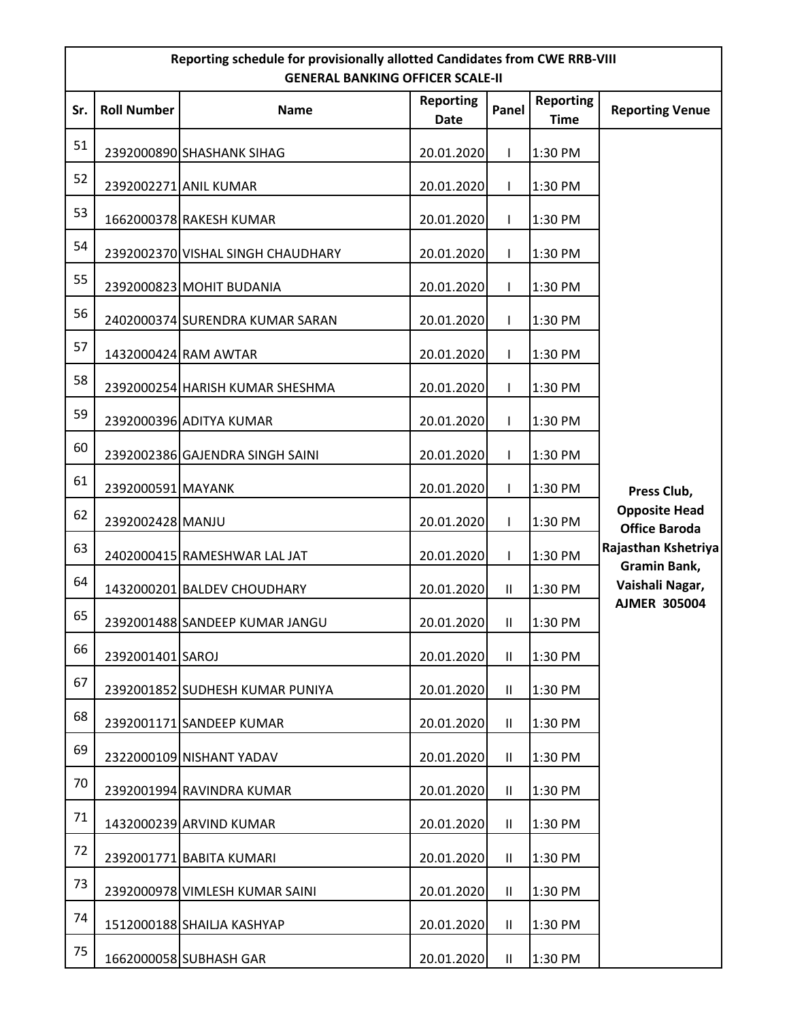|     | Reporting schedule for provisionally allotted Candidates from CWE RRB-VIII<br><b>GENERAL BANKING OFFICER SCALE-II</b> |                                   |                          |                            |                                 |                                              |  |  |
|-----|-----------------------------------------------------------------------------------------------------------------------|-----------------------------------|--------------------------|----------------------------|---------------------------------|----------------------------------------------|--|--|
| Sr. | <b>Roll Number</b>                                                                                                    | <b>Name</b>                       | <b>Reporting</b><br>Date | Panel                      | <b>Reporting</b><br><b>Time</b> | <b>Reporting Venue</b>                       |  |  |
| 51  |                                                                                                                       | 2392000890 SHASHANK SIHAG         | 20.01.2020               | T                          | 1:30 PM                         |                                              |  |  |
| 52  |                                                                                                                       | 2392002271 ANIL KUMAR             | 20.01.2020               | $\mathsf{I}$               | 1:30 PM                         |                                              |  |  |
| 53  |                                                                                                                       | 1662000378 RAKESH KUMAR           | 20.01.2020               | T                          | 1:30 PM                         |                                              |  |  |
| 54  |                                                                                                                       | 2392002370 VISHAL SINGH CHAUDHARY | 20.01.2020               | T                          | 1:30 PM                         |                                              |  |  |
| 55  |                                                                                                                       | 2392000823 MOHIT BUDANIA          | 20.01.2020               | L                          | 1:30 PM                         |                                              |  |  |
| 56  |                                                                                                                       | 2402000374 SURENDRA KUMAR SARAN   | 20.01.2020               | $\mathbf{I}$               | 1:30 PM                         |                                              |  |  |
| 57  |                                                                                                                       | 1432000424 RAM AWTAR              | 20.01.2020               | T                          | 1:30 PM                         |                                              |  |  |
| 58  |                                                                                                                       | 2392000254 HARISH KUMAR SHESHMA   | 20.01.2020               | T                          | 1:30 PM                         |                                              |  |  |
| 59  |                                                                                                                       | 2392000396 ADITYA KUMAR           | 20.01.2020               | $\mathbf{I}$               | 1:30 PM                         |                                              |  |  |
| 60  |                                                                                                                       | 2392002386 GAJENDRA SINGH SAINI   | 20.01.2020               | T                          | 1:30 PM                         |                                              |  |  |
| 61  | 2392000591 MAYANK                                                                                                     |                                   | 20.01.2020               | T                          | 1:30 PM                         | Press Club,                                  |  |  |
| 62  | 2392002428 MANJU                                                                                                      |                                   | 20.01.2020               | $\mathbf{I}$               | 1:30 PM                         | <b>Opposite Head</b><br><b>Office Baroda</b> |  |  |
| 63  |                                                                                                                       | 2402000415 RAMESHWAR LAL JAT      | 20.01.2020               | T                          | 1:30 PM                         | Rajasthan Kshetriya<br>Gramin Bank,          |  |  |
| 64  |                                                                                                                       | 1432000201 BALDEV CHOUDHARY       | 20.01.2020               | $\mathbf{II}$              | 1:30 PM                         | Vaishali Nagar,                              |  |  |
| 65  |                                                                                                                       | 2392001488 SANDEEP KUMAR JANGU    | 20.01.2020               | $\mathbf{II}$              | 1:30 PM                         | <b>AJMER 305004</b>                          |  |  |
| 66  | 2392001401 SAROJ                                                                                                      |                                   | 20.01.2020               | $\mathbf{H}$               | 1:30 PM                         |                                              |  |  |
| 67  |                                                                                                                       | 2392001852 SUDHESH KUMAR PUNIYA   | 20.01.2020               | $\mathbf{H}$               | 1:30 PM                         |                                              |  |  |
| 68  |                                                                                                                       | 2392001171 SANDEEP KUMAR          | 20.01.2020               | $\mathbf{H}$               | 1:30 PM                         |                                              |  |  |
| 69  |                                                                                                                       | 2322000109 NISHANT YADAV          | 20.01.2020               | $\mathbf{H}$               | 1:30 PM                         |                                              |  |  |
| 70  |                                                                                                                       | 2392001994 RAVINDRA KUMAR         | 20.01.2020               | $\mathbf{H}$               | 1:30 PM                         |                                              |  |  |
| 71  |                                                                                                                       | 1432000239 ARVIND KUMAR           | 20.01.2020               | $\ensuremath{\mathsf{II}}$ | 1:30 PM                         |                                              |  |  |
| 72  |                                                                                                                       | 2392001771 BABITA KUMARI          | 20.01.2020               | Ш                          | 1:30 PM                         |                                              |  |  |
| 73  |                                                                                                                       | 2392000978 VIMLESH KUMAR SAINI    | 20.01.2020               | $\mathbf{H}$               | 1:30 PM                         |                                              |  |  |
| 74  |                                                                                                                       | 1512000188 SHAILJA KASHYAP        | 20.01.2020               | $\mathbf{II}$              | 1:30 PM                         |                                              |  |  |
| 75  |                                                                                                                       | 1662000058 SUBHASH GAR            | 20.01.2020               | $\mathbf{H}$               | 1:30 PM                         |                                              |  |  |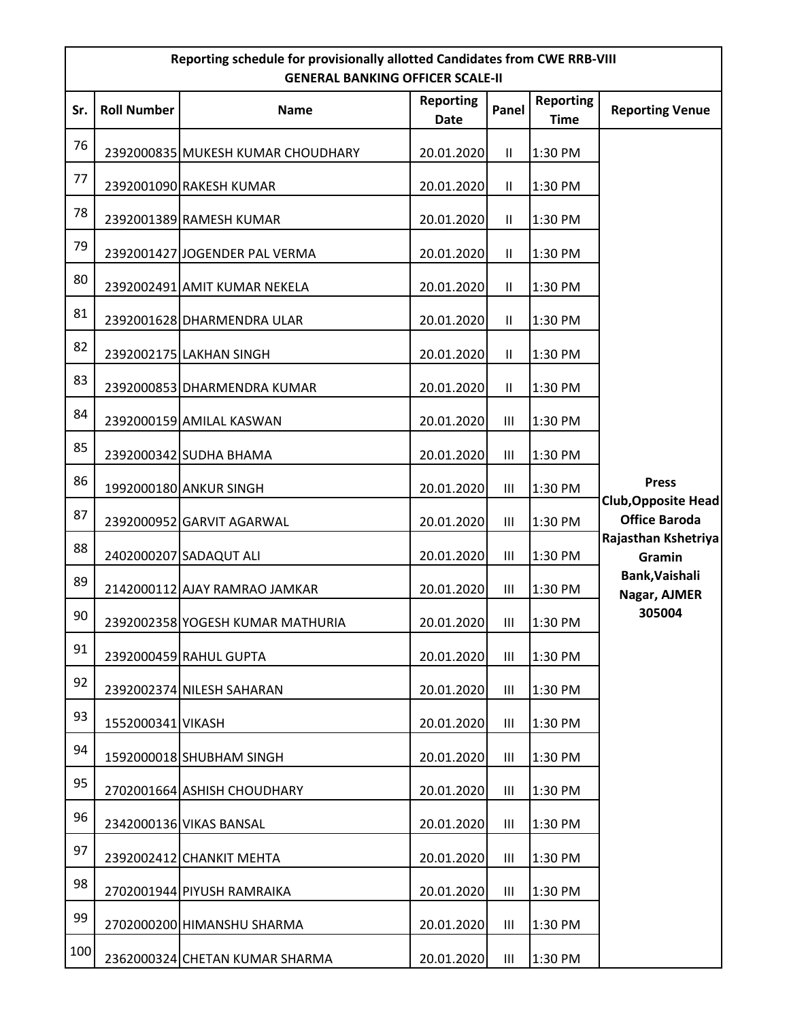|     | Reporting schedule for provisionally allotted Candidates from CWE RRB-VIII<br><b>GENERAL BANKING OFFICER SCALE-II</b> |                                   |                          |                    |                                 |                                                    |  |  |
|-----|-----------------------------------------------------------------------------------------------------------------------|-----------------------------------|--------------------------|--------------------|---------------------------------|----------------------------------------------------|--|--|
| Sr. | <b>Roll Number</b>                                                                                                    | <b>Name</b>                       | <b>Reporting</b><br>Date | Panel              | <b>Reporting</b><br><b>Time</b> | <b>Reporting Venue</b>                             |  |  |
| 76  |                                                                                                                       | 2392000835 MUKESH KUMAR CHOUDHARY | 20.01.2020               | $\mathbf{H}$       | 1:30 PM                         |                                                    |  |  |
| 77  |                                                                                                                       | 2392001090 RAKESH KUMAR           | 20.01.2020               | $\mathbf{H}$       | 1:30 PM                         |                                                    |  |  |
| 78  |                                                                                                                       | 2392001389 RAMESH KUMAR           | 20.01.2020               | $\mathbf{H}$       | 1:30 PM                         |                                                    |  |  |
| 79  |                                                                                                                       | 2392001427 JOGENDER PAL VERMA     | 20.01.2020               | $\mathbf{II}$      | 1:30 PM                         |                                                    |  |  |
| 80  |                                                                                                                       | 2392002491 AMIT KUMAR NEKELA      | 20.01.2020               | $\mathbf{H}$       | 1:30 PM                         |                                                    |  |  |
| 81  |                                                                                                                       | 2392001628 DHARMENDRA ULAR        | 20.01.2020               | $\mathbf{II}$      | 1:30 PM                         |                                                    |  |  |
| 82  |                                                                                                                       | 2392002175 LAKHAN SINGH           | 20.01.2020               | $\mathbf{II}$      | 1:30 PM                         |                                                    |  |  |
| 83  |                                                                                                                       | 2392000853 DHARMENDRA KUMAR       | 20.01.2020               | $\mathbf{H}$       | 1:30 PM                         |                                                    |  |  |
| 84  |                                                                                                                       | 2392000159 AMILAL KASWAN          | 20.01.2020               | $\mathop{\rm III}$ | 1:30 PM                         |                                                    |  |  |
| 85  |                                                                                                                       | 2392000342 SUDHA BHAMA            | 20.01.2020               | $\mathop{\rm III}$ | 1:30 PM                         |                                                    |  |  |
| 86  |                                                                                                                       | 1992000180 ANKUR SINGH            | 20.01.2020               | $\mathop{\rm III}$ | 1:30 PM                         | <b>Press</b>                                       |  |  |
| 87  |                                                                                                                       | 2392000952 GARVIT AGARWAL         | 20.01.2020               | III                | 1:30 PM                         | <b>Club, Opposite Head</b><br><b>Office Baroda</b> |  |  |
| 88  |                                                                                                                       | 2402000207 SADAQUT ALI            | 20.01.2020               | $\mathsf{III}\,$   | 1:30 PM                         | Rajasthan Kshetriya<br><b>Gramin</b>               |  |  |
| 89  |                                                                                                                       | 2142000112 AJAY RAMRAO JAMKAR     | 20.01.2020               | Ш                  | 1:30 PM                         | Bank, Vaishali<br>Nagar, AJMER                     |  |  |
| 90  |                                                                                                                       | 2392002358 YOGESH KUMAR MATHURIA  | 20.01.2020               | $\mathop{\rm III}$ | 1:30 PM                         | 305004                                             |  |  |
| 91  |                                                                                                                       | 2392000459 RAHUL GUPTA            | 20.01.2020               | III                | 1:30 PM                         |                                                    |  |  |
| 92  |                                                                                                                       | 2392002374 NILESH SAHARAN         | 20.01.2020               | Ш                  | 1:30 PM                         |                                                    |  |  |
| 93  | 1552000341 VIKASH                                                                                                     |                                   | 20.01.2020               | Ш                  | 1:30 PM                         |                                                    |  |  |
| 94  |                                                                                                                       | 1592000018 SHUBHAM SINGH          | 20.01.2020               | $\mathbf{III}$     | 1:30 PM                         |                                                    |  |  |
| 95  |                                                                                                                       | 2702001664 ASHISH CHOUDHARY       | 20.01.2020               | Ш                  | 1:30 PM                         |                                                    |  |  |
| 96  |                                                                                                                       | 2342000136 VIKAS BANSAL           | 20.01.2020               | Ш                  | 1:30 PM                         |                                                    |  |  |
| 97  |                                                                                                                       | 2392002412 CHANKIT MEHTA          | 20.01.2020               | $\mathop{\rm III}$ | 1:30 PM                         |                                                    |  |  |
| 98  |                                                                                                                       | 2702001944 PIYUSH RAMRAIKA        | 20.01.2020               | Ш                  | 1:30 PM                         |                                                    |  |  |
| 99  |                                                                                                                       | 2702000200 HIMANSHU SHARMA        | 20.01.2020               | Ш                  | 1:30 PM                         |                                                    |  |  |
| 100 |                                                                                                                       | 2362000324 CHETAN KUMAR SHARMA    | 20.01.2020               | $\mathop{\rm III}$ | 1:30 PM                         |                                                    |  |  |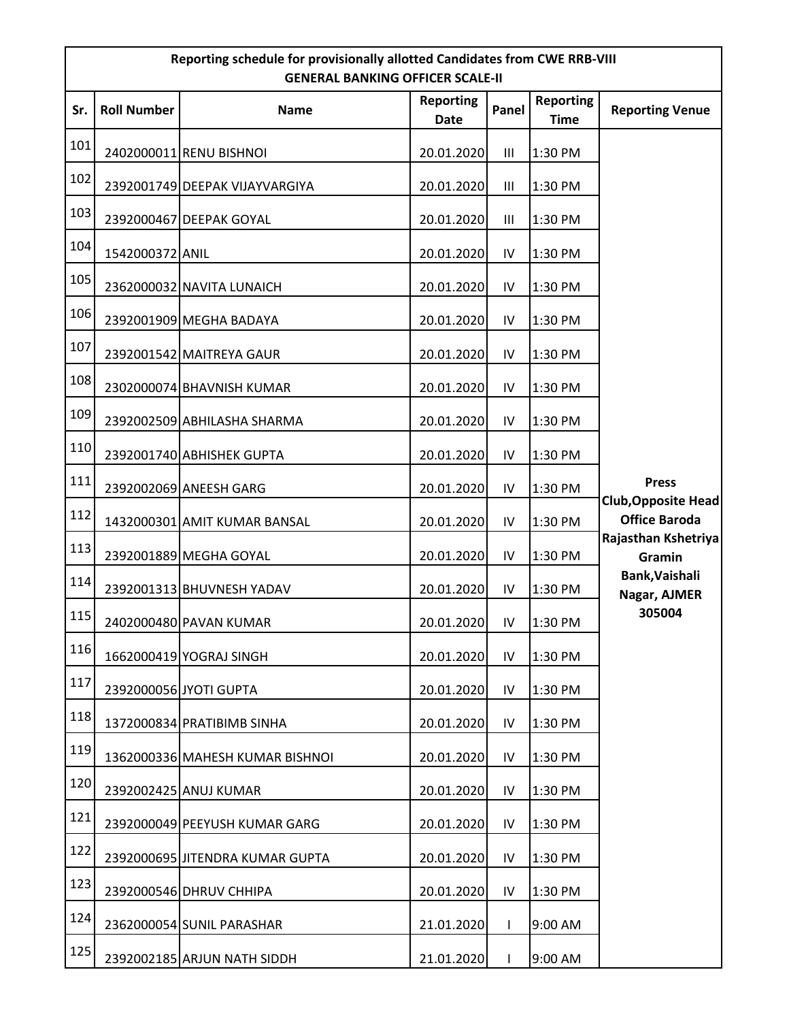|     | Reporting schedule for provisionally allotted Candidates from CWE RRB-VIII<br><b>GENERAL BANKING OFFICER SCALE-II</b> |                                 |                          |                |                                 |                                             |  |  |
|-----|-----------------------------------------------------------------------------------------------------------------------|---------------------------------|--------------------------|----------------|---------------------------------|---------------------------------------------|--|--|
| Sr. | <b>Roll Number</b>                                                                                                    | <b>Name</b>                     | <b>Reporting</b><br>Date | Panel          | <b>Reporting</b><br><b>Time</b> | <b>Reporting Venue</b>                      |  |  |
| 101 |                                                                                                                       | 2402000011 RENU BISHNOI         | 20.01.2020               | $\mathbf{III}$ | 1:30 PM                         |                                             |  |  |
| 102 |                                                                                                                       | 2392001749 DEEPAK VIJAYVARGIYA  | 20.01.2020               | Ш              | 1:30 PM                         |                                             |  |  |
| 103 |                                                                                                                       | 2392000467 DEEPAK GOYAL         | 20.01.2020               | Ш              | 1:30 PM                         |                                             |  |  |
| 104 | 1542000372 ANIL                                                                                                       |                                 | 20.01.2020               | ${\sf IV}$     | 1:30 PM                         |                                             |  |  |
| 105 |                                                                                                                       | 2362000032 NAVITA LUNAICH       | 20.01.2020               | ${\sf IV}$     | 1:30 PM                         |                                             |  |  |
| 106 |                                                                                                                       | 2392001909 MEGHA BADAYA         | 20.01.2020               | IV             | 1:30 PM                         |                                             |  |  |
| 107 |                                                                                                                       | 2392001542 MAITREYA GAUR        | 20.01.2020               | ${\sf IV}$     | 1:30 PM                         |                                             |  |  |
| 108 |                                                                                                                       | 2302000074 BHAVNISH KUMAR       | 20.01.2020               | IV             | 1:30 PM                         |                                             |  |  |
| 109 |                                                                                                                       | 2392002509 ABHILASHA SHARMA     | 20.01.2020               | IV             | 1:30 PM                         |                                             |  |  |
| 110 |                                                                                                                       | 2392001740 ABHISHEK GUPTA       | 20.01.2020               | ${\sf IV}$     | 1:30 PM                         |                                             |  |  |
| 111 |                                                                                                                       | 2392002069 ANEESH GARG          | 20.01.2020               | ${\sf IV}$     | 1:30 PM                         | <b>Press</b>                                |  |  |
| 112 |                                                                                                                       | 1432000301 AMIT KUMAR BANSAL    | 20.01.2020               | IV             | 1:30 PM                         | Club, Opposite Head<br><b>Office Baroda</b> |  |  |
| 113 |                                                                                                                       | 2392001889 MEGHA GOYAL          | 20.01.2020               | ${\sf IV}$     | 1:30 PM                         | Rajasthan Kshetriya<br>Gramin               |  |  |
| 114 |                                                                                                                       | 2392001313 BHUVNESH YADAV       | 20.01.2020               | IV             | 1:30 PM                         | Bank, Vaishali<br>Nagar, AJMER              |  |  |
| 115 |                                                                                                                       | 2402000480 PAVAN KUMAR          | 20.01.2020               | IV             | 1:30 PM                         | 305004                                      |  |  |
| 116 |                                                                                                                       | 1662000419 YOGRAJ SINGH         | 20.01.2020               | IV             | 1:30 PM                         |                                             |  |  |
| 117 |                                                                                                                       | 2392000056 JYOTI GUPTA          | 20.01.2020               | IV             | 1:30 PM                         |                                             |  |  |
| 118 |                                                                                                                       | 1372000834 PRATIBIMB SINHA      | 20.01.2020               | IV             | 1:30 PM                         |                                             |  |  |
| 119 |                                                                                                                       | 1362000336 MAHESH KUMAR BISHNOI | 20.01.2020               | IV             | 1:30 PM                         |                                             |  |  |
| 120 |                                                                                                                       | 2392002425 ANUJ KUMAR           | 20.01.2020               | IV             | 1:30 PM                         |                                             |  |  |
| 121 |                                                                                                                       | 2392000049 PEEYUSH KUMAR GARG   | 20.01.2020               | IV             | 1:30 PM                         |                                             |  |  |
| 122 |                                                                                                                       | 2392000695 JITENDRA KUMAR GUPTA | 20.01.2020               | ${\sf IV}$     | 1:30 PM                         |                                             |  |  |
| 123 |                                                                                                                       | 2392000546 DHRUV CHHIPA         | 20.01.2020               | IV             | 1:30 PM                         |                                             |  |  |
| 124 |                                                                                                                       | 2362000054 SUNIL PARASHAR       | 21.01.2020               | $\mathbf{I}$   | 9:00 AM                         |                                             |  |  |
| 125 |                                                                                                                       | 2392002185 ARJUN NATH SIDDH     | 21.01.2020               | $\mathbf{I}$   | 9:00 AM                         |                                             |  |  |

**I**